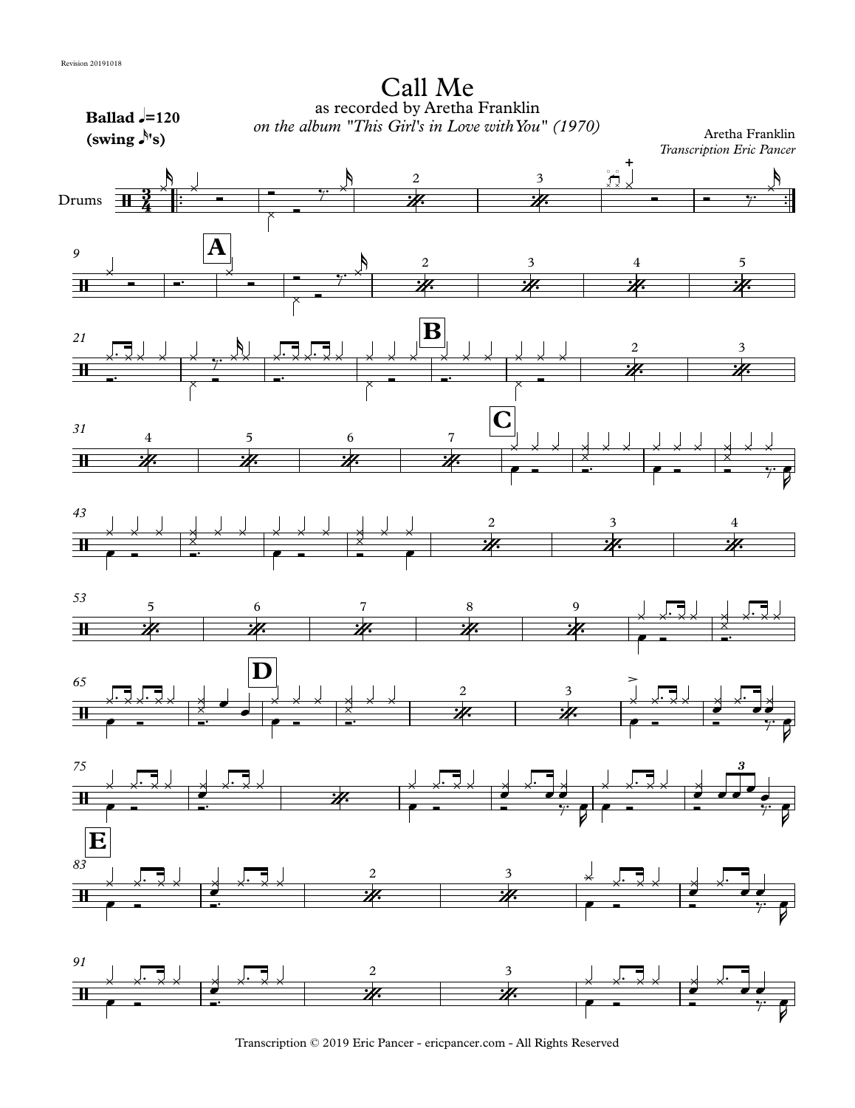

Transcription © 2019 Eric Pancer - ericpancer.com - All Rights Reserved